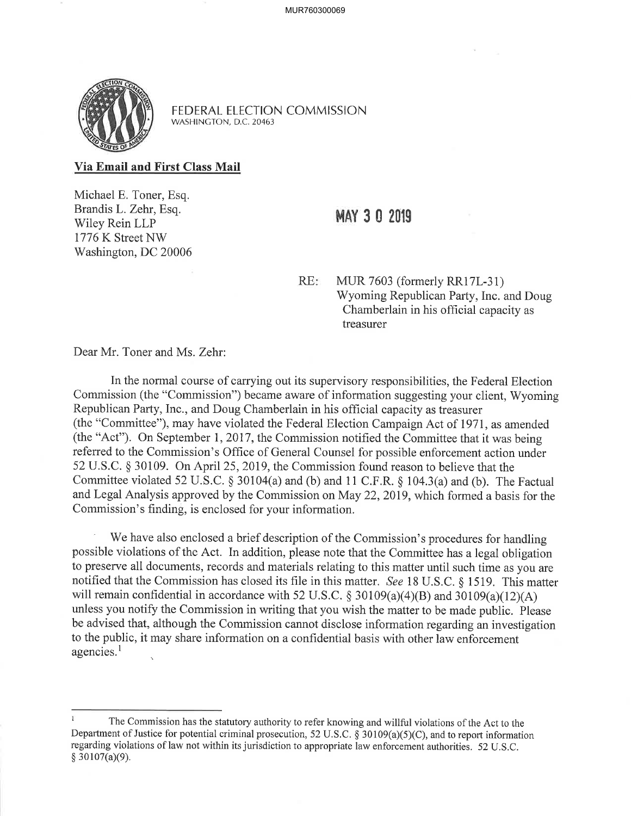

FEDERAL ELECTION COMMISSION WASHINGTON, D.C. 20463

Via Email and First Class Mail

Michael E. Toner, Esq. Brandis L. Zehr, Esq. Wiley Rein LLP 1776K Street NV/ Washington, DC 20006

## MAY 3 0 2019

RE: MUR 7603 (formerly RR17L-31) Wyoming Republican Party, Inc. and Doug Chamberlain in his ofhcial capacity as treasurer

Dear Mr. Toner and Ms. Zehr:

In the normal course of carrying out its supervisory responsibilities, the Federal Election Commission (the "Commission") became aware of information suggesting your client, Wyoming Republican Party, Inc., and Doug Chamberlain in his official capacity as treasurer (the "Committee"), may have violated the Federal Election Campaign Act of 1971, as amended (the "Act"). On September 1, 2017, the Commission notified the Committee that it was being referred to the Commission's Office of General Counsel for possible enforcement action under 52 U.S.C. \$ 30109. On April 25,2019, the Commission found reason to believe that the Committee violated 52 U.S.C.  $\S 30104(a)$  and (b) and 11 C.F.R.  $\S 104.3(a)$  and (b). The Factual and Legal Analysis approved by the Commission on May 22,2019, which formed a basis for the Commission's finding, is enclosed for your information.

We have also enclosed a brief description of the Commission's procedures for handling possible violations of the Act. In addition, please note that the Committee has a legal obiigation to preserve all documents, records and materials relating to this matter until such time as you are notified that the Commission has closed its file in this matter. See 18 U.S.C. \$ 1519. This matter will remain confidential in accordance with 52 U.S.C.  $\S$  30109(a)(4)(B) and 30109(a)(12)(A) unless you notify the Commission in writing that you wish the matter to be made public. Please be advised that, although the Commission cannot disclose information regarding an investigation to the public, it may share information on a confidential basis with other law enforcement agencies.<sup>1</sup>

I The Commission has the statutory authority to refer knowing and willful violations of the Act to the Department of Justice for potential criminal prosecution, 52 U.S.C. g 30109(a)(5)(C), and to report information regarding violations of law not within its jurisdiction to appropriate law enforcement authorities. 52 U.S.C.  $$30107(a)(9)$ .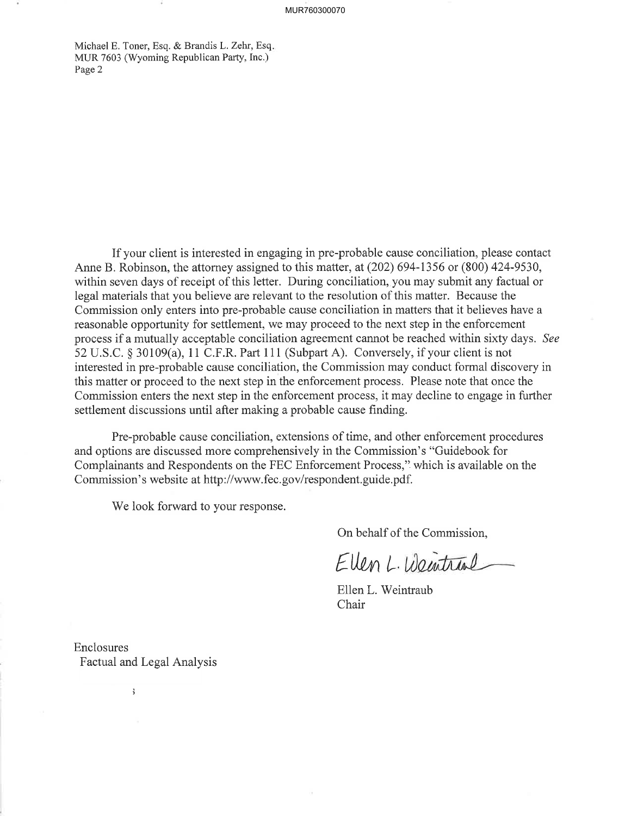Michael E. Toner, Esq. & Brandis L. Zehr, Esq. MUR 7603 (Wyoming Republican Party, Inc.) Page 2

If your client is interested in engaging in pre-probable cause conciliation, please contact Anne B. Robinson, the attorney assigned to this matter, at (202) 694-1356 ot (800) 424-9530, within seven days of receipt of this letter. During conciliation, you may submit any factual or legal materials that you believe are relevant to the resolution of this matter. Because the Commission only enters into pre-probable cause conciliation in matters that it believes have a reasonable opportunity for settlement, we may proceed to the next step in the enforcement process if a mutually acceptable conciliation agreement cannot be reached within sixty days. See <sup>52</sup>U.S.C. \$ 30109(a), 11 C.F.R. Part 111 (Subpart A). Conversely, if your client is not interested in pre-probable cause conciliation, the Commission may conduct formal discovery in this matter or proceed to the next step in the enforcement process. Please note that once the Commission enters the next step in the enforcement process, it may decline to engage in further settlement discussions until after making a probable cause finding.

Pre-probable cause conciliation, extensions of time, and other enforcement procedures and options are discussed more comprehensively in the Commission's "Guidebook for Complainants and Respondents on the FEC Enforcement Process," which is available on the Commission's website at http://www.fec.gov/respondent.guide.pdf.

We look forward to your response.

On behalf of the Commission,

Ellen L. Weintral

Ellen L. Weintraub Chair

Enclosures Factual and Legal Analysis

 $\mathbf{3}$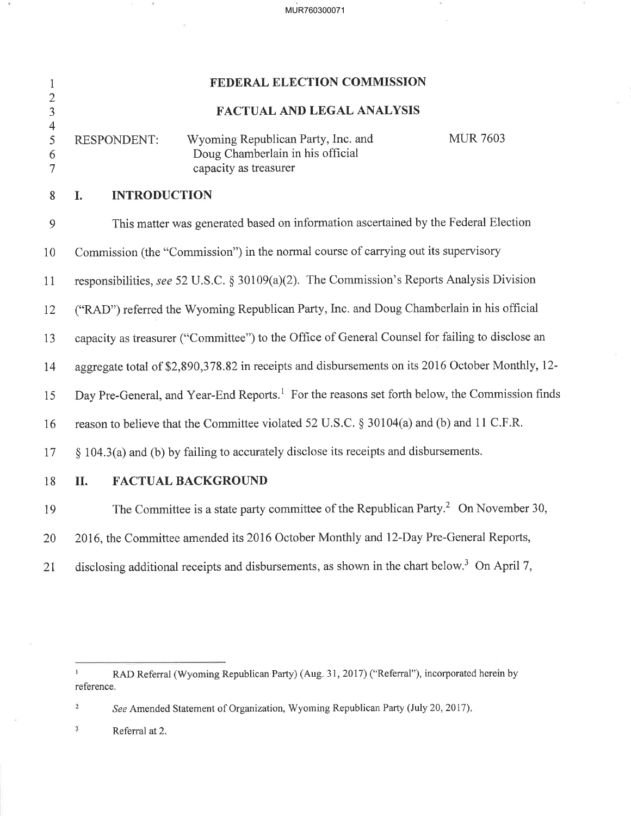MUR760300071

 $\epsilon$ 

| $\mathbf{1}$                                  |                                                                                                           | <b>FEDERAL ELECTION COMMISSION</b>                                                              |                 |  |  |  |
|-----------------------------------------------|-----------------------------------------------------------------------------------------------------------|-------------------------------------------------------------------------------------------------|-----------------|--|--|--|
| $\frac{2}{3}$                                 | <b>FACTUAL AND LEGAL ANALYSIS</b>                                                                         |                                                                                                 |                 |  |  |  |
| $\frac{4}{5}$<br>$\sqrt{6}$<br>$\overline{7}$ | <b>RESPONDENT:</b>                                                                                        | Wyoming Republican Party, Inc. and<br>Doug Chamberlain in his official<br>capacity as treasurer | <b>MUR 7603</b> |  |  |  |
| 8                                             | <b>INTRODUCTION</b><br>I.                                                                                 |                                                                                                 |                 |  |  |  |
| 9                                             |                                                                                                           | This matter was generated based on information ascertained by the Federal Election              |                 |  |  |  |
| 10                                            | Commission (the "Commission") in the normal course of carrying out its supervisory                        |                                                                                                 |                 |  |  |  |
| 11                                            | responsibilities, see 52 U.S.C. § 30109(a)(2). The Commission's Reports Analysis Division                 |                                                                                                 |                 |  |  |  |
| 12                                            | ("RAD") referred the Wyoming Republican Party, Inc. and Doug Chamberlain in his official                  |                                                                                                 |                 |  |  |  |
| 13                                            | capacity as treasurer ("Committee") to the Office of General Counsel for failing to disclose an           |                                                                                                 |                 |  |  |  |
| 14                                            | aggregate total of \$2,890,378.82 in receipts and disbursements on its 2016 October Monthly, 12-          |                                                                                                 |                 |  |  |  |
| 15                                            | Day Pre-General, and Year-End Reports. <sup>1</sup> For the reasons set forth below, the Commission finds |                                                                                                 |                 |  |  |  |
| 16                                            | reason to believe that the Committee violated 52 U.S.C. § 30104(a) and (b) and 11 C.F.R.                  |                                                                                                 |                 |  |  |  |
| 17                                            | § 104.3(a) and (b) by failing to accurately disclose its receipts and disbursements.                      |                                                                                                 |                 |  |  |  |
| 18                                            | II.                                                                                                       | <b>FACTUAL BACKGROUND</b>                                                                       |                 |  |  |  |
| 19                                            |                                                                                                           | The Committee is a state party committee of the Republican Party. <sup>2</sup> On November 30,  |                 |  |  |  |

20 2016, the Committee amended its 2016 October Monthly and l2-Day Pre-General Reports,

2t disclosing additional receipts and disbursements, as shown in the chart below.<sup>3</sup> On April 7,

See Amended Statement of Organization, Wyoming Republican Party (July 20, 2017).  $\dot{2}$ 

 $\mathbf{3}$ Referral at 2.

<sup>&</sup>lt;sup>1</sup> RAD Referral (Wyoming Republican Party) (Aug. 31, 2017) ("Referral"), incorporated herein by reference.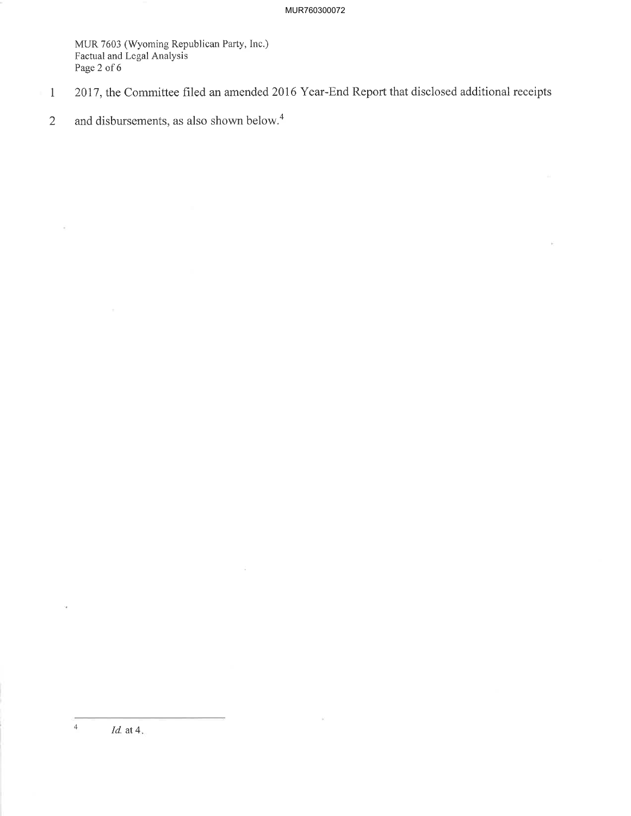MUR 7603 (Wyoming Republican Parry, Inc.) Factual and Legal Analysis Page 2 of 6

- 1 2017, the Committee filed an amended 2016 Year-End Report that disclosed additional receipts
- 2 and disbursements, as also shown below.<sup>4</sup>

4

 $\overline{\mathbb{R}}$ 

Id. at 4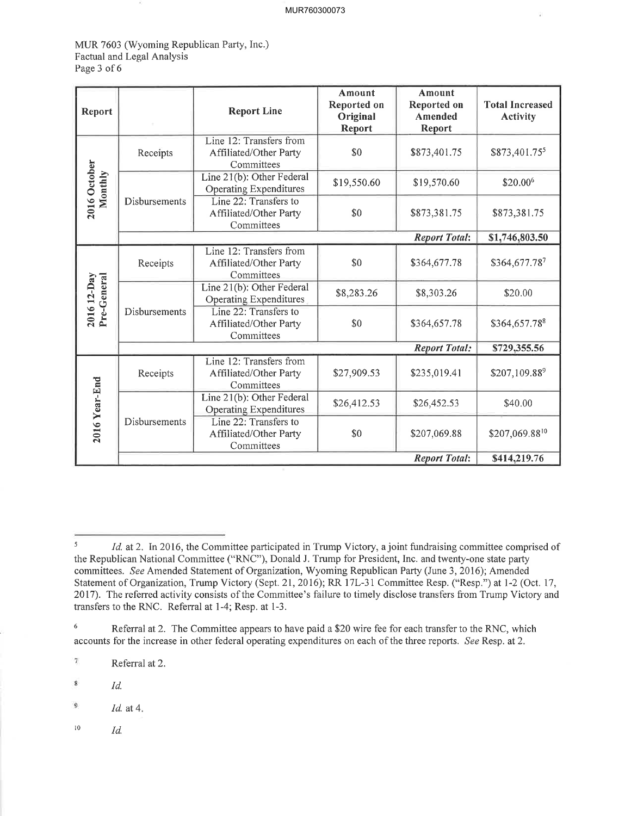MUR 7603 (Wyoming Republican Party, Inc.) Factual and Legal Analysis Page 3 of 6

| Report                      |                                                                                                                                              | <b>Report Line</b>                                              | Amount<br>Reported on<br>Original<br>Report | Amount<br>Reported on<br>Amended<br>Report | <b>Total Increased</b><br><b>Activity</b> |
|-----------------------------|----------------------------------------------------------------------------------------------------------------------------------------------|-----------------------------------------------------------------|---------------------------------------------|--------------------------------------------|-------------------------------------------|
|                             | Receipts                                                                                                                                     | Line 12: Transfers from<br>Affiliated/Other Party<br>Committees | \$0                                         | \$873,401.75                               | \$873,401.755                             |
| 2016 October<br>Monthly     | Disbursements                                                                                                                                | Line 21(b): Other Federal<br><b>Operating Expenditures</b>      | \$19,550.60                                 | \$19,570.60                                | \$20.006                                  |
|                             |                                                                                                                                              | Line 22: Transfers to<br>Affiliated/Other Party<br>Committees   | \$0                                         | \$873,381.75                               | \$873,381.75                              |
|                             |                                                                                                                                              |                                                                 |                                             | <b>Report Total:</b>                       | \$1,746,803.50                            |
|                             | Receipts                                                                                                                                     | Line 12: Transfers from<br>Affiliated/Other Party<br>Committees | \$0                                         | \$364,677.78                               | \$364,677.787                             |
| Pre-General<br>$201612-Day$ |                                                                                                                                              | Line 21(b): Other Federal<br>Operating Expenditures             | \$8,283.26                                  | \$8,303.26                                 | \$20.00                                   |
|                             | Disbursements                                                                                                                                | Line 22: Transfers to<br>Affiliated/Other Party<br>Committees   | \$0                                         | \$364,657.78                               | \$364,657.788                             |
|                             |                                                                                                                                              |                                                                 |                                             | <b>Report Total:</b>                       | \$729,355.56                              |
|                             | Receipts                                                                                                                                     | Line 12: Transfers from<br>Affiliated/Other Party<br>Committees | \$27,909.53                                 | \$235,019.41                               | \$207,109.889                             |
|                             | Line 21(b): Other Federal<br><b>Operating Expenditures</b><br>Disbursements<br>Line 22: Transfers to<br>Affiliated/Other Party<br>Committees | \$26,412.53                                                     | \$26,452.53                                 | \$40.00                                    |                                           |
| 2016 Year-End               |                                                                                                                                              |                                                                 | \$0                                         | \$207,069.88                               | \$207,069.8810                            |
|                             |                                                                                                                                              |                                                                 |                                             | <b>Report Total:</b>                       | \$414,219.76                              |

 $\overline{\tau}$ Referral at 2.

 $l^{10}$   $Id.$ 

 $I_d$  at 2. In 2016, the Committee participated in Trump Victory, a joint fundraising committee comprised of the Republican National Committee ("RNC"), Donald J. Trump for President, Inc. and twenty-one state party committees. See Amended Statement of Organization, Wyoming Republican Party (June 3, 2016); Amended Statement of Organization, Trump Victory (Sept. 21, 2016); RR 17L-31 Committee Resp. ("Resp.") at 1-2 (Oct. 17, 2017). The referred activity consists of the Committee's failure to timely disclose transfers from Trump Victory and transfers to the RNC. Referral af l-4; Resp. at l-3.

<sup>&</sup>lt;sup>6</sup> Referral at 2. The Committee appears to have paid a \$20 wire fee for each transfer to the RNC, which accounts for the increase in other federal operating expenditures on each of the three reports. See Resp. at 2.

<sup>8</sup> Id.

 $\mathbf{9}$ Id. at 4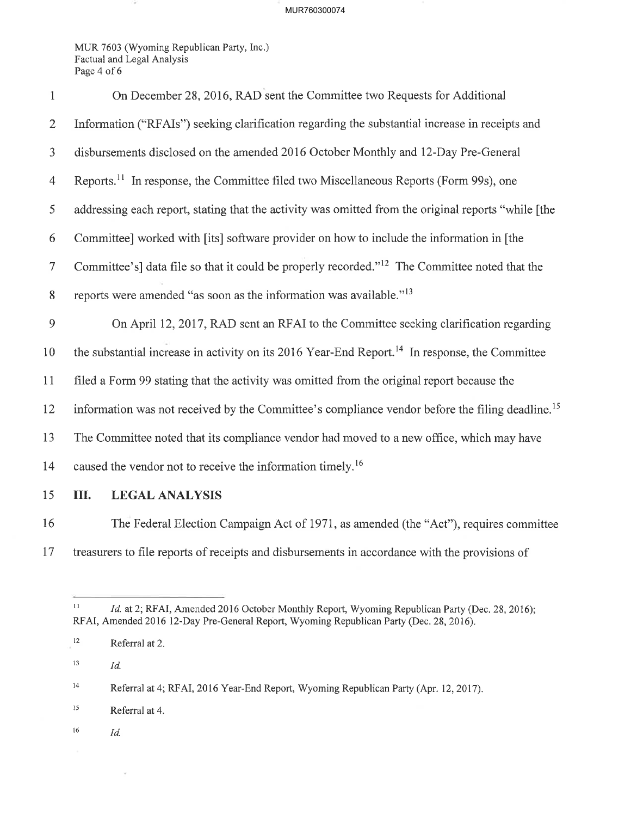## MUR760300074

MUR 7603 (Wyoming Republican Party, Inc.) Factual and Legal Analysis Page 4 of 6

| $\mathbf{1}$     | On December 28, 2016, RAD sent the Committee two Requests for Additional                                    |  |  |  |
|------------------|-------------------------------------------------------------------------------------------------------------|--|--|--|
| $\overline{2}$   | Information ("RFAIs") seeking clarification regarding the substantial increase in receipts and              |  |  |  |
| $\mathfrak{Z}$   | disbursements disclosed on the amended 2016 October Monthly and 12-Day Pre-General                          |  |  |  |
| 4                | Reports. <sup>11</sup> In response, the Committee filed two Miscellaneous Reports (Form 99s), one           |  |  |  |
| 5                | addressing each report, stating that the activity was omitted from the original reports "while [the         |  |  |  |
| 6                | Committee] worked with [its] software provider on how to include the information in [the                    |  |  |  |
| $\tau$           | Committee's] data file so that it could be properly recorded." <sup>12</sup> The Committee noted that the   |  |  |  |
| $\boldsymbol{8}$ | reports were amended "as soon as the information was available." <sup>13</sup>                              |  |  |  |
| 9                | On April 12, 2017, RAD sent an RFAI to the Committee seeking clarification regarding                        |  |  |  |
| 10               | the substantial increase in activity on its 2016 Year-End Report. <sup>14</sup> In response, the Committee  |  |  |  |
| 11               | filed a Form 99 stating that the activity was omitted from the original report because the                  |  |  |  |
| 12               | information was not received by the Committee's compliance vendor before the filing deadline. <sup>15</sup> |  |  |  |
| 13               | The Committee noted that its compliance vendor had moved to a new office, which may have                    |  |  |  |
| 14               | caused the vendor not to receive the information timely. <sup>16</sup>                                      |  |  |  |
| 15               | III.<br><b>LEGAL ANALYSIS</b>                                                                               |  |  |  |
| 16               | The Federal Election Campaign Act of 1971, as amended (the "Act"), requires committee                       |  |  |  |

treasurers to file reports of receipts and disbursements in accordance with the provisions of

*Id.* 

 $\hat{\theta}$ 

 $Id$ .

 Id. at 2; RFAI, Amended 2016 October Monthly Report, Wyoming Republican Party (Dec. 28, 2016); RFAI, Amended 2016 l2-Day Pre-General Report, Wyoming Republican Party (Dec. 28,2016).

Referral at 2.

<sup>&</sup>lt;sup>14</sup> Referral at 4; RFAI, 2016 Year-End Report, Wyoming Republican Party (Apr. 12, 2017).

<sup>&</sup>lt;sup>15</sup> Referral at 4.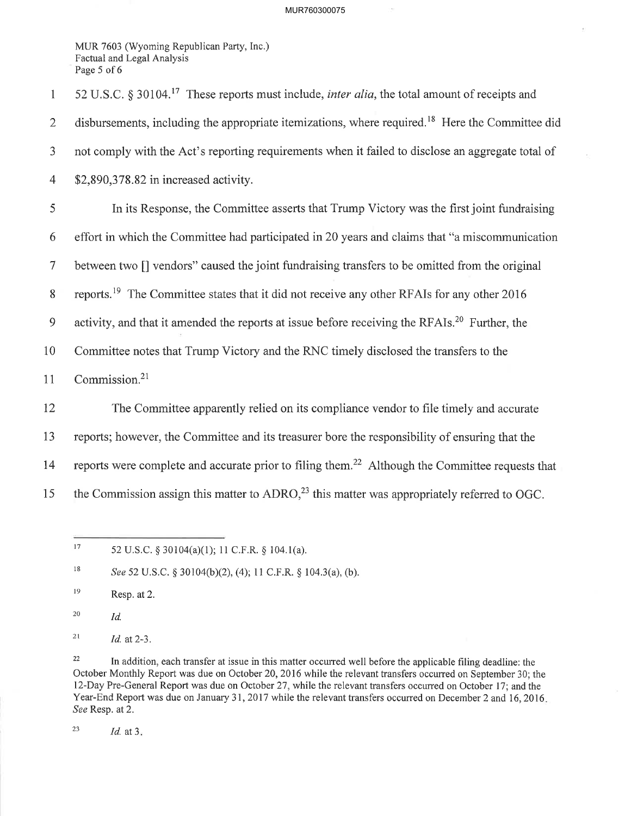## MUR760300075

MUR 7603 (Wyoming Republican Party, Inc.) Factual and Legal Analysis Page 5 of 6

1 52 U.S.C. § 30104.<sup>17</sup> These reports must include, *inter alia*, the total amount of receipts and 2 disbursements, including the appropriate itemizations, where required.<sup>18</sup> Here the Committee did 3 not comply with the Act's reporting requirements when it failed to disclose an aggregate total of 4 \$2,890,378 .82 in increased activity. 5 In its Response, the Committee asserts that Trump Victory was the first joint fundraising 6 effort in which the Committee had participated in 20 years and claims that "a miscommunication" 7 between two [] vendors" caused the joint fundraising transfers to be omitted from the original 8 reports.<sup>19</sup> The Committee states that it did not receive any other RFAIs for any other 2016 9 activity, and that it amended the reports at issue before receiving the RFAIs.<sup>20</sup> Further, the 10 Committee notes that Trump Victory and the RNC timely disclosed the transfers to the 11 Commission.<sup>21</sup> 12 The Committee apparently relied on its compliance vendor to file timely and accurate 13 reports; however, the Committee and its treasurer bore the responsibility of ensuring that the 14 reports were complete and accurate prior to filing them.<sup>22</sup> Although the Committee requests that 15 the Commission assign this matter to  $ADRO<sub>1</sub><sup>23</sup>$  this matter was appropriately referred to OGC.

See 52 U.S.C. § 30104(b)(2), (4); 11 C.F.R. § 104.3(a), (b). 18

Resp. at 2. l9

Id. 20

Id. at 2-3. 2t

<sup>22</sup> In addition, each transfer at issue in this matter occurred well before the applicable filing deadline: the October Monthly Report was due on October 20,2016 while the relevant transfers occurred on September 30; the l2-Day Pre-General Report was due on October 21 , while the relevant transfers occurred on October 17; and the Year-End Report was due on January 31,2017 while the relevant transfers occurred on December 2 and 16,2016 See Resp. at 2.

<sup>23</sup> *Id.* at  $3$ .

<sup>52</sup> U.S.C. § 30104(a)(1); 11 C.F.R. § 104.1(a).  $17\,$